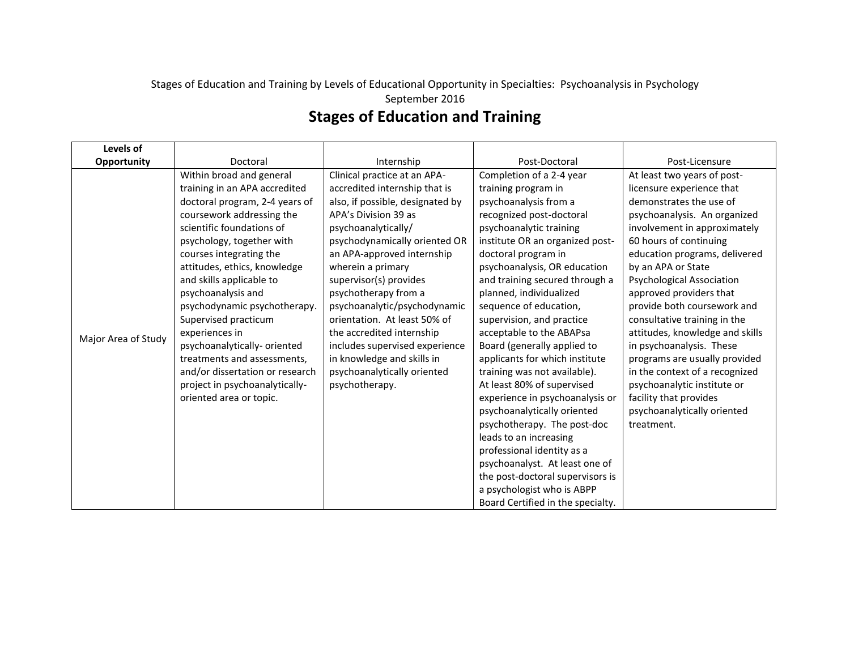## Stages of Education and Training by Levels of Educational Opportunity in Specialties: Psychoanalysis in Psychology September 2016 **Stages of Education and Training**

| Levels of           |                                                                                                                                                                                                                                                                                                                                                                                                                                                                                                                                         |                                                                                                                                                                                                                                                                                                                                                                                                                                                                                                      |                                                                                                                                                                                                                                                                                                                                                                                                                                                                                                                                                                                                                                                                                                                                                                                                            |                                                                                                                                                                                                                                                                                                                                                                                                                                                                                                                                                                                                            |
|---------------------|-----------------------------------------------------------------------------------------------------------------------------------------------------------------------------------------------------------------------------------------------------------------------------------------------------------------------------------------------------------------------------------------------------------------------------------------------------------------------------------------------------------------------------------------|------------------------------------------------------------------------------------------------------------------------------------------------------------------------------------------------------------------------------------------------------------------------------------------------------------------------------------------------------------------------------------------------------------------------------------------------------------------------------------------------------|------------------------------------------------------------------------------------------------------------------------------------------------------------------------------------------------------------------------------------------------------------------------------------------------------------------------------------------------------------------------------------------------------------------------------------------------------------------------------------------------------------------------------------------------------------------------------------------------------------------------------------------------------------------------------------------------------------------------------------------------------------------------------------------------------------|------------------------------------------------------------------------------------------------------------------------------------------------------------------------------------------------------------------------------------------------------------------------------------------------------------------------------------------------------------------------------------------------------------------------------------------------------------------------------------------------------------------------------------------------------------------------------------------------------------|
| Opportunity         | Doctoral                                                                                                                                                                                                                                                                                                                                                                                                                                                                                                                                | Internship                                                                                                                                                                                                                                                                                                                                                                                                                                                                                           | Post-Doctoral                                                                                                                                                                                                                                                                                                                                                                                                                                                                                                                                                                                                                                                                                                                                                                                              | Post-Licensure                                                                                                                                                                                                                                                                                                                                                                                                                                                                                                                                                                                             |
| Major Area of Study | Within broad and general<br>training in an APA accredited<br>doctoral program, 2-4 years of<br>coursework addressing the<br>scientific foundations of<br>psychology, together with<br>courses integrating the<br>attitudes, ethics, knowledge<br>and skills applicable to<br>psychoanalysis and<br>psychodynamic psychotherapy.<br>Supervised practicum<br>experiences in<br>psychoanalytically-oriented<br>treatments and assessments,<br>and/or dissertation or research<br>project in psychoanalytically-<br>oriented area or topic. | Clinical practice at an APA-<br>accredited internship that is<br>also, if possible, designated by<br>APA's Division 39 as<br>psychoanalytically/<br>psychodynamically oriented OR<br>an APA-approved internship<br>wherein a primary<br>supervisor(s) provides<br>psychotherapy from a<br>psychoanalytic/psychodynamic<br>orientation. At least 50% of<br>the accredited internship<br>includes supervised experience<br>in knowledge and skills in<br>psychoanalytically oriented<br>psychotherapy. | Completion of a 2-4 year<br>training program in<br>psychoanalysis from a<br>recognized post-doctoral<br>psychoanalytic training<br>institute OR an organized post-<br>doctoral program in<br>psychoanalysis, OR education<br>and training secured through a<br>planned, individualized<br>sequence of education,<br>supervision, and practice<br>acceptable to the ABAPsa<br>Board (generally applied to<br>applicants for which institute<br>training was not available).<br>At least 80% of supervised<br>experience in psychoanalysis or<br>psychoanalytically oriented<br>psychotherapy. The post-doc<br>leads to an increasing<br>professional identity as a<br>psychoanalyst. At least one of<br>the post-doctoral supervisors is<br>a psychologist who is ABPP<br>Board Certified in the specialty. | At least two years of post-<br>licensure experience that<br>demonstrates the use of<br>psychoanalysis. An organized<br>involvement in approximately<br>60 hours of continuing<br>education programs, delivered<br>by an APA or State<br><b>Psychological Association</b><br>approved providers that<br>provide both coursework and<br>consultative training in the<br>attitudes, knowledge and skills<br>in psychoanalysis. These<br>programs are usually provided<br>in the context of a recognized<br>psychoanalytic institute or<br>facility that provides<br>psychoanalytically oriented<br>treatment. |